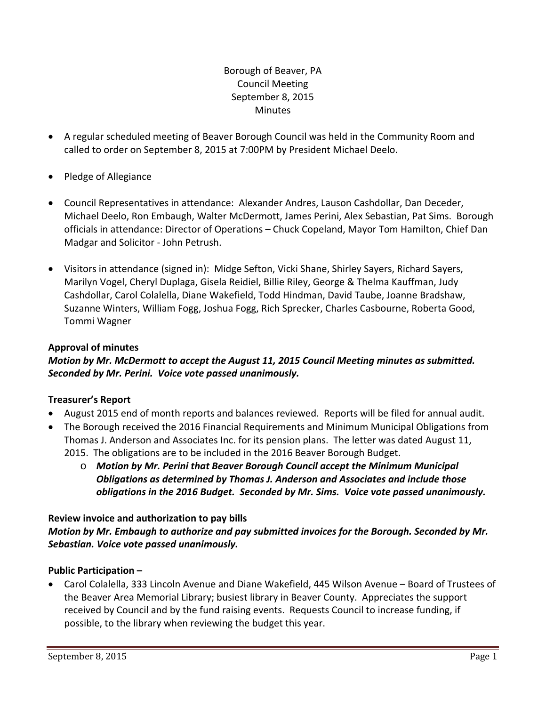# Borough of Beaver, PA Council Meeting September 8, 2015 **Minutes**

- A regular scheduled meeting of Beaver Borough Council was held in the Community Room and called to order on September 8, 2015 at 7:00PM by President Michael Deelo.
- Pledge of Allegiance
- Council Representatives in attendance: Alexander Andres, Lauson Cashdollar, Dan Deceder, Michael Deelo, Ron Embaugh, Walter McDermott, James Perini, Alex Sebastian, Pat Sims. Borough officials in attendance: Director of Operations – Chuck Copeland, Mayor Tom Hamilton, Chief Dan Madgar and Solicitor ‐ John Petrush.
- Visitors in attendance (signed in): Midge Sefton, Vicki Shane, Shirley Sayers, Richard Sayers, Marilyn Vogel, Cheryl Duplaga, Gisela Reidiel, Billie Riley, George & Thelma Kauffman, Judy Cashdollar, Carol Colalella, Diane Wakefield, Todd Hindman, David Taube, Joanne Bradshaw, Suzanne Winters, William Fogg, Joshua Fogg, Rich Sprecker, Charles Casbourne, Roberta Good, Tommi Wagner

# **Approval of minutes**

*Motion by Mr. McDermott to accept the August 11, 2015 Council Meeting minutes as submitted. Seconded by Mr. Perini. Voice vote passed unanimously.* 

# **Treasurer's Report**

- August 2015 end of month reports and balances reviewed. Reports will be filed for annual audit.
- The Borough received the 2016 Financial Requirements and Minimum Municipal Obligations from Thomas J. Anderson and Associates Inc. for its pension plans. The letter was dated August 11, 2015. The obligations are to be included in the 2016 Beaver Borough Budget.
	- o *Motion by Mr. Perini that Beaver Borough Council accept the Minimum Municipal Obligations as determined by Thomas J. Anderson and Associates and include those obligations in the 2016 Budget. Seconded by Mr. Sims. Voice vote passed unanimously.*

# **Review invoice and authorization to pay bills**

*Motion by Mr. Embaugh to authorize and pay submitted invoices for the Borough. Seconded by Mr. Sebastian. Voice vote passed unanimously.*

# **Public Participation –**

 Carol Colalella, 333 Lincoln Avenue and Diane Wakefield, 445 Wilson Avenue – Board of Trustees of the Beaver Area Memorial Library; busiest library in Beaver County. Appreciates the support received by Council and by the fund raising events. Requests Council to increase funding, if possible, to the library when reviewing the budget this year.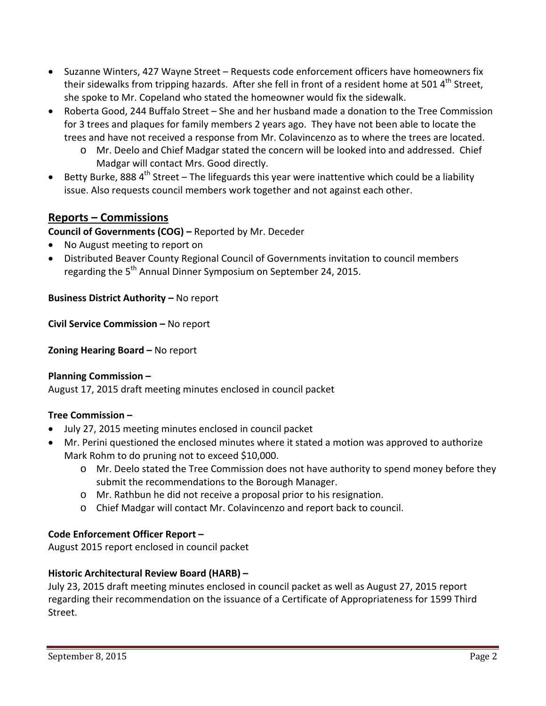- Suzanne Winters, 427 Wayne Street Requests code enforcement officers have homeowners fix their sidewalks from tripping hazards. After she fell in front of a resident home at 501 4<sup>th</sup> Street, she spoke to Mr. Copeland who stated the homeowner would fix the sidewalk.
- Roberta Good, 244 Buffalo Street She and her husband made a donation to the Tree Commission for 3 trees and plaques for family members 2 years ago. They have not been able to locate the trees and have not received a response from Mr. Colavincenzo as to where the trees are located.
	- o Mr. Deelo and Chief Madgar stated the concern will be looked into and addressed. Chief Madgar will contact Mrs. Good directly.
- Betty Burke, 888 4<sup>th</sup> Street The lifeguards this year were inattentive which could be a liability issue. Also requests council members work together and not against each other.

# **Reports – Commissions**

**Council of Governments (COG) –** Reported by Mr. Deceder

- No August meeting to report on
- Distributed Beaver County Regional Council of Governments invitation to council members regarding the 5<sup>th</sup> Annual Dinner Symposium on September 24, 2015.

# **Business District Authority –** No report

**Civil Service Commission –** No report

**Zoning Hearing Board –** No report

#### **Planning Commission –**

August 17, 2015 draft meeting minutes enclosed in council packet

# **Tree Commission –**

- July 27, 2015 meeting minutes enclosed in council packet
- Mr. Perini questioned the enclosed minutes where it stated a motion was approved to authorize Mark Rohm to do pruning not to exceed \$10,000.
	- o Mr. Deelo stated the Tree Commission does not have authority to spend money before they submit the recommendations to the Borough Manager.
	- o Mr. Rathbun he did not receive a proposal prior to his resignation.
	- o Chief Madgar will contact Mr. Colavincenzo and report back to council.

#### **Code Enforcement Officer Report –**

August 2015 report enclosed in council packet

# **Historic Architectural Review Board (HARB) –**

July 23, 2015 draft meeting minutes enclosed in council packet as well as August 27, 2015 report regarding their recommendation on the issuance of a Certificate of Appropriateness for 1599 Third Street.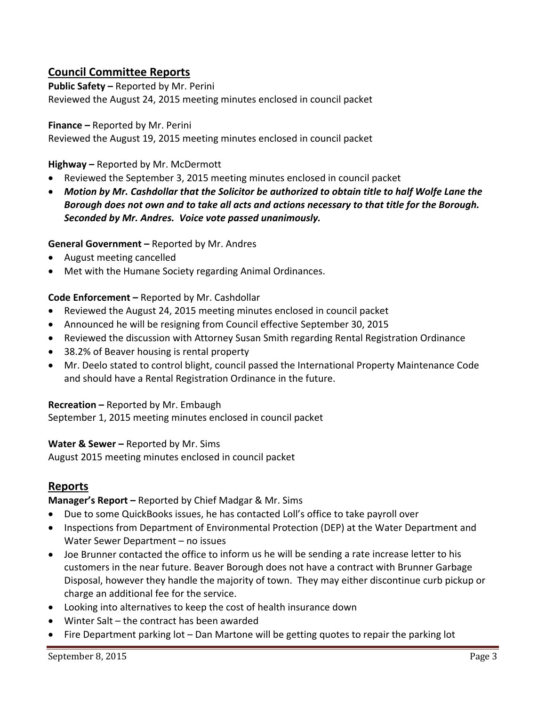# **Council Committee Reports**

**Public Safety –** Reported by Mr. Perini

Reviewed the August 24, 2015 meeting minutes enclosed in council packet

#### **Finance –** Reported by Mr. Perini

Reviewed the August 19, 2015 meeting minutes enclosed in council packet

#### **Highway –** Reported by Mr. McDermott

- Reviewed the September 3, 2015 meeting minutes enclosed in council packet
- *Motion by Mr. Cashdollar that the Solicitor be authorized to obtain title to half Wolfe Lane the* Borough does not own and to take all acts and actions necessary to that title for the Borough. *Seconded by Mr. Andres. Voice vote passed unanimously.*

#### **General Government –** Reported by Mr. Andres

- August meeting cancelled
- Met with the Humane Society regarding Animal Ordinances.

#### **Code Enforcement –** Reported by Mr. Cashdollar

- Reviewed the August 24, 2015 meeting minutes enclosed in council packet
- Announced he will be resigning from Council effective September 30, 2015
- Reviewed the discussion with Attorney Susan Smith regarding Rental Registration Ordinance
- 38.2% of Beaver housing is rental property
- Mr. Deelo stated to control blight, council passed the International Property Maintenance Code and should have a Rental Registration Ordinance in the future.

#### **Recreation –** Reported by Mr. Embaugh

September 1, 2015 meeting minutes enclosed in council packet

#### **Water & Sewer –** Reported by Mr. Sims

August 2015 meeting minutes enclosed in council packet

# **Reports**

**Manager's Report –** Reported by Chief Madgar & Mr. Sims

- Due to some QuickBooks issues, he has contacted Loll's office to take payroll over
- Inspections from Department of Environmental Protection (DEP) at the Water Department and Water Sewer Department – no issues
- Joe Brunner contacted the office to inform us he will be sending a rate increase letter to his customers in the near future. Beaver Borough does not have a contract with Brunner Garbage Disposal, however they handle the majority of town. They may either discontinue curb pickup or charge an additional fee for the service.
- Looking into alternatives to keep the cost of health insurance down
- Winter Salt the contract has been awarded
- Fire Department parking lot Dan Martone will be getting quotes to repair the parking lot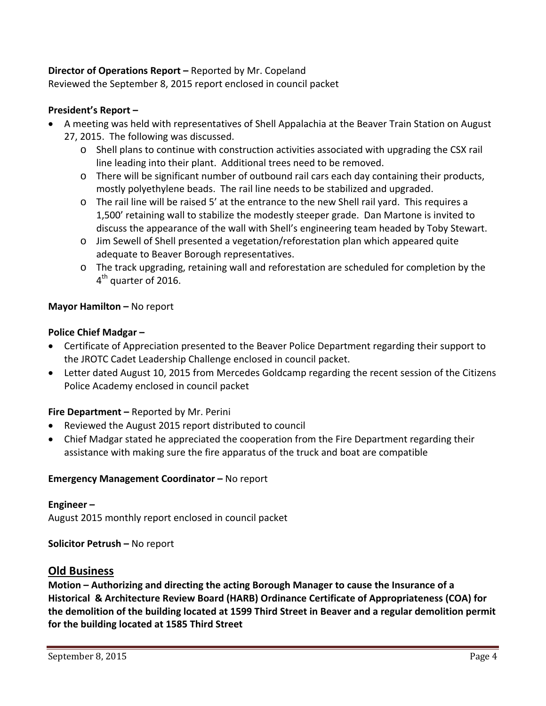# **Director of Operations Report –** Reported by Mr. Copeland

Reviewed the September 8, 2015 report enclosed in council packet

# **President's Report –**

- A meeting was held with representatives of Shell Appalachia at the Beaver Train Station on August 27, 2015. The following was discussed.
	- o Shell plans to continue with construction activities associated with upgrading the CSX rail line leading into their plant. Additional trees need to be removed.
	- o There will be significant number of outbound rail cars each day containing their products, mostly polyethylene beads. The rail line needs to be stabilized and upgraded.
	- o The rail line will be raised 5' at the entrance to the new Shell rail yard. This requires a 1,500' retaining wall to stabilize the modestly steeper grade. Dan Martone is invited to discuss the appearance of the wall with Shell's engineering team headed by Toby Stewart.
	- o Jim Sewell of Shell presented a vegetation/reforestation plan which appeared quite adequate to Beaver Borough representatives.
	- o The track upgrading, retaining wall and reforestation are scheduled for completion by the  $4<sup>th</sup>$  quarter of 2016.

# **Mayor Hamilton –** No report

# **Police Chief Madgar –**

- Certificate of Appreciation presented to the Beaver Police Department regarding their support to the JROTC Cadet Leadership Challenge enclosed in council packet.
- Letter dated August 10, 2015 from Mercedes Goldcamp regarding the recent session of the Citizens Police Academy enclosed in council packet

# **Fire Department –** Reported by Mr. Perini

- Reviewed the August 2015 report distributed to council
- Chief Madgar stated he appreciated the cooperation from the Fire Department regarding their assistance with making sure the fire apparatus of the truck and boat are compatible

# **Emergency Management Coordinator –** No report

# **Engineer –**

August 2015 monthly report enclosed in council packet

# **Solicitor Petrush –** No report

# **Old Business**

**Motion – Authorizing and directing the acting Borough Manager to cause the Insurance of a Historical & Architecture Review Board (HARB) Ordinance Certificate of Appropriateness (COA) for the demolition of the building located at 1599 Third Street in Beaver and a regular demolition permit for the building located at 1585 Third Street**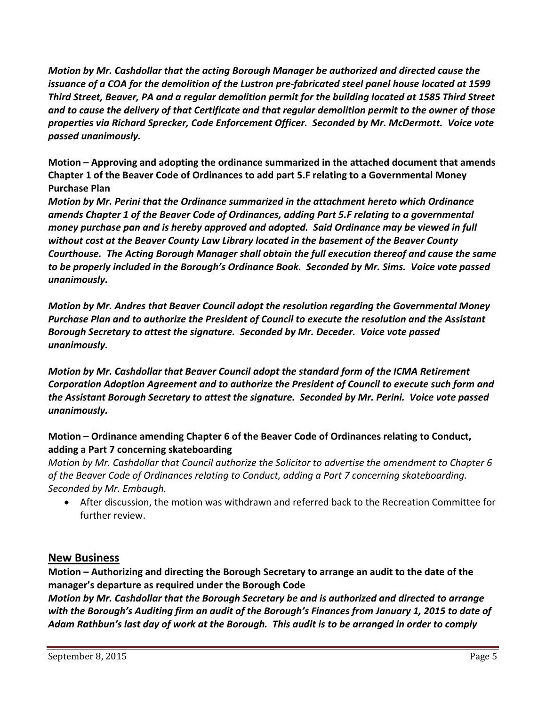*Motion by Mr. Cashdollar that the acting Borough Manager be authorized and directed cause the* issuance of a COA for the demolition of the Lustron pre-fabricated steel panel house located at 1599 *Third Street, Beaver, PA and a regular demolition permit for the building located at 1585 Third Street* and to cause the delivery of that Certificate and that regular demolition permit to the owner of those *properties via Richard Sprecker, Code Enforcement Officer. Seconded by Mr. McDermott. Voice vote passed unanimously.*

**Motion – Approving and adopting the ordinance summarized in the attached document that amends Chapter 1 of the Beaver Code of Ordinances to add part 5.F relating to a Governmental Money Purchase Plan**

*Motion by Mr. Perini that the Ordinance summarized in the attachment hereto which Ordinance amends Chapter 1 of the Beaver Code of Ordinances, adding Part 5.F relating to a governmental money purchase pan and is hereby approved and adopted. Said Ordinance may be viewed in full without cost at the Beaver County Law Library located in the basement of the Beaver County Courthouse. The Acting Borough Manager shall obtain the full execution thereof and cause the same to be properly included in the Borough's Ordinance Book. Seconded by Mr. Sims. Voice vote passed unanimously.*

*Motion by Mr. Andres that Beaver Council adopt the resolution regarding the Governmental Money Purchase Plan and to authorize the President of Council to execute the resolution and the Assistant Borough Secretary to attest the signature. Seconded by Mr. Deceder. Voice vote passed unanimously.*

*Motion by Mr. Cashdollar that Beaver Council adopt the standard form of the ICMA Retirement Corporation Adoption Agreement and to authorize the President of Council to execute such form and the Assistant Borough Secretary to attest the signature. Seconded by Mr. Perini. Voice vote passed unanimously.*

# **Motion – Ordinance amending Chapter 6 of the Beaver Code of Ordinances relating to Conduct, adding a Part 7 concerning skateboarding**

*Motion by Mr. Cashdollar that Council authorize the Solicitor to advertise the amendment to Chapter 6 of the Beaver Code of Ordinances relating to Conduct, adding a Part 7 concerning skateboarding. Seconded by Mr. Embaugh.* 

 After discussion, the motion was withdrawn and referred back to the Recreation Committee for further review.

# **New Business**

**Motion – Authorizing and directing the Borough Secretary to arrange an audit to the date of the manager's departure as required under the Borough Code**

*Motion by Mr. Cashdollar that the Borough Secretary be and is authorized and directed to arrange* with the Borough's Auditing firm an audit of the Borough's Finances from January 1, 2015 to date of Adam Rathbun's last day of work at the Borough. This audit is to be arranged in order to comply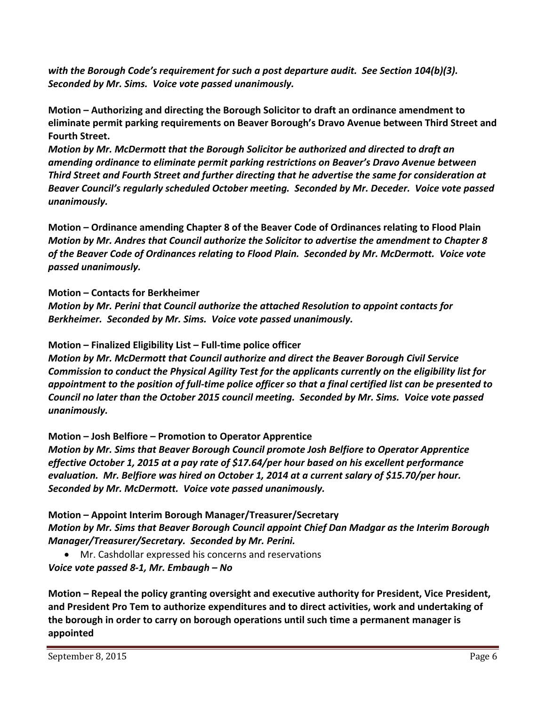*with the Borough Code's requirement for such a post departure audit. See Section 104(b)(3). Seconded by Mr. Sims. Voice vote passed unanimously.*

**Motion – Authorizing and directing the Borough Solicitor to draft an ordinance amendment to eliminate permit parking requirements on Beaver Borough's Dravo Avenue between Third Street and Fourth Street.**

*Motion by Mr. McDermott that the Borough Solicitor be authorized and directed to draft an amending ordinance to eliminate permit parking restrictions on Beaver's Dravo Avenue between Third Street and Fourth Street and further directing that he advertise the same for consideration at Beaver Council's regularly scheduled October meeting. Seconded by Mr. Deceder. Voice vote passed unanimously.*

**Motion – Ordinance amending Chapter 8 of the Beaver Code of Ordinances relating to Flood Plain** *Motion by Mr. Andres that Council authorize the Solicitor to advertise the amendment to Chapter 8 of the Beaver Code of Ordinances relating to Flood Plain. Seconded by Mr. McDermott. Voice vote passed unanimously.* 

# **Motion – Contacts for Berkheimer**

*Motion by Mr. Perini that Council authorize the attached Resolution to appoint contacts for Berkheimer. Seconded by Mr. Sims. Voice vote passed unanimously.* 

# **Motion – Finalized Eligibility List – Full‐time police officer**

*Motion by Mr. McDermott that Council authorize and direct the Beaver Borough Civil Service Commission to conduct the Physical Agility Test for the applicants currently on the eligibility list for* appointment to the position of full-time police officer so that a final certified list can be presented to *Council no later than the October 2015 council meeting. Seconded by Mr. Sims. Voice vote passed unanimously.*

**Motion – Josh Belfiore – Promotion to Operator Apprentice**

*Motion by Mr. Sims that Beaver Borough Council promote Josh Belfiore to Operator Apprentice effective October 1, 2015 at a pay rate of \$17.64/per hour based on his excellent performance evaluation. Mr. Belfiore was hired on October 1, 2014 at a current salary of \$15.70/per hour. Seconded by Mr. McDermott. Voice vote passed unanimously.* 

**Motion – Appoint Interim Borough Manager/Treasurer/Secretary** *Motion by Mr. Sims that Beaver Borough Council appoint Chief Dan Madgar as the Interim Borough Manager/Treasurer/Secretary. Seconded by Mr. Perini.* 

 Mr. Cashdollar expressed his concerns and reservations *Voice vote passed 8‐1, Mr. Embaugh – No*

**Motion – Repeal the policy granting oversight and executive authority for President, Vice President, and President Pro Tem to authorize expenditures and to direct activities, work and undertaking of the borough in order to carry on borough operations until such time a permanent manager is appointed**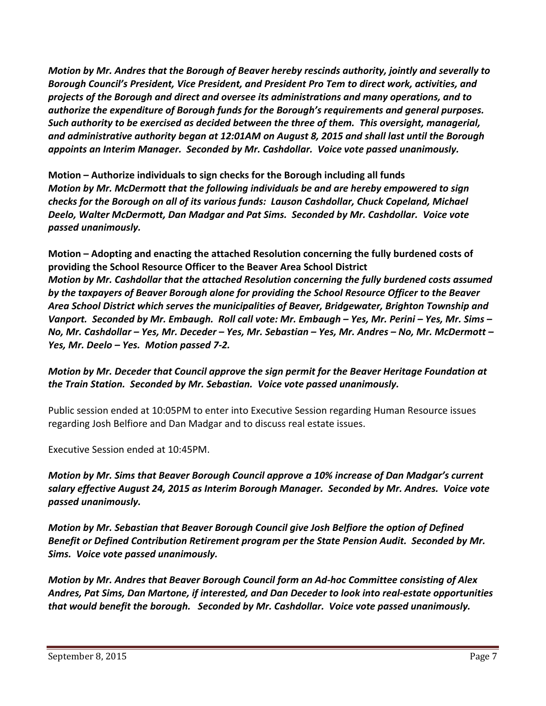*Motion by Mr. Andres that the Borough of Beaver hereby rescinds authority, jointly and severally to Borough Council's President, Vice President, and President Pro Tem to direct work, activities, and projects of the Borough and direct and oversee its administrations and many operations, and to authorize the expenditure of Borough funds for the Borough's requirements and general purposes. Such authority to be exercised as decided between the three of them. This oversight, managerial, and administrative authority began at 12:01AM on August 8, 2015 and shall last until the Borough appoints an Interim Manager. Seconded by Mr. Cashdollar. Voice vote passed unanimously.*

**Motion – Authorize individuals to sign checks for the Borough including all funds** *Motion by Mr. McDermott that the following individuals be and are hereby empowered to sign checks for the Borough on all of its various funds: Lauson Cashdollar, Chuck Copeland, Michael Deelo, Walter McDermott, Dan Madgar and Pat Sims. Seconded by Mr. Cashdollar. Voice vote passed unanimously.*

**Motion – Adopting and enacting the attached Resolution concerning the fully burdened costs of providing the School Resource Officer to the Beaver Area School District** *Motion by Mr. Cashdollar that the attached Resolution concerning the fully burdened costs assumed by the taxpayers of Beaver Borough alone for providing the School Resource Officer to the Beaver Area School District which serves the municipalities of Beaver, Bridgewater, Brighton Township and* Vanport. Seconded by Mr. Embaugh. Roll call vote: Mr. Embaugh - Yes, Mr. Perini - Yes, Mr. Sims -No, Mr. Cashdollar – Yes, Mr. Deceder – Yes, Mr. Sebastian – Yes, Mr. Andres – No, Mr. McDermott – *Yes, Mr. Deelo – Yes. Motion passed 7‐2.*

# *Motion by Mr. Deceder that Council approve the sign permit for the Beaver Heritage Foundation at the Train Station. Seconded by Mr. Sebastian. Voice vote passed unanimously.*

Public session ended at 10:05PM to enter into Executive Session regarding Human Resource issues regarding Josh Belfiore and Dan Madgar and to discuss real estate issues.

Executive Session ended at 10:45PM.

*Motion by Mr. Sims that Beaver Borough Council approve a 10% increase of Dan Madgar's current salary effective August 24, 2015 as Interim Borough Manager. Seconded by Mr. Andres. Voice vote passed unanimously.*

*Motion by Mr. Sebastian that Beaver Borough Council give Josh Belfiore the option of Defined Benefit or Defined Contribution Retirement program per the State Pension Audit. Seconded by Mr. Sims. Voice vote passed unanimously.* 

*Motion by Mr. Andres that Beaver Borough Council form an Ad‐hoc Committee consisting of Alex Andres, Pat Sims, Dan Martone, if interested, and Dan Deceder to look into real‐estate opportunities that would benefit the borough. Seconded by Mr. Cashdollar. Voice vote passed unanimously.*